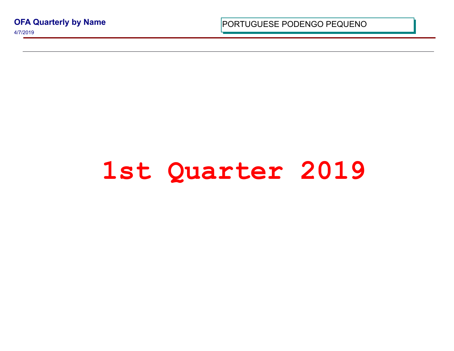**OFA Quarterly by Name**

4/7/2019

PORTUGUESE PODENGO PEQUI

## 1st Quarter 201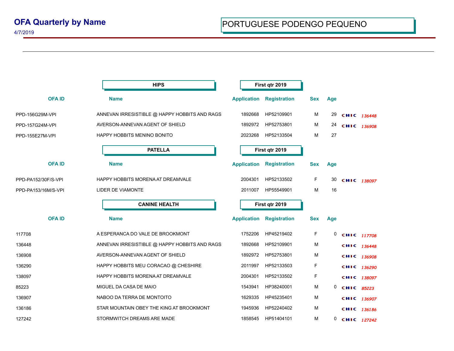|                     | <b>HIPS</b>                                   | First qtr 2019     |                     |            |     |             |
|---------------------|-----------------------------------------------|--------------------|---------------------|------------|-----|-------------|
| <b>OFAID</b>        | <b>Name</b>                                   | <b>Application</b> | <b>Registration</b> | <b>Sex</b> | Age |             |
| PPD-156G29M-VPI     | ANNEVAN IRRESISTIBLE @ HAPPY HOBBITS AND RAGS | 1892668            | HP52109901          | М          | 29  | CHIC 136448 |
| PPD-157G24M-VPI     | AVERSON-ANNEVAN AGENT OF SHIELD               | 1892972            | HP52753801          | М          | 24  | CHIC 136908 |
| PPD-155E27M-VPI     | HAPPY HOBBITS MENINO BONITO                   | 2023268            | HP52133504          | M          | 27  |             |
|                     | <b>PATELLA</b>                                | First qtr 2019     |                     |            |     |             |
| <b>OFAID</b>        | <b>Name</b>                                   | <b>Application</b> | <b>Registration</b> | <b>Sex</b> | Age |             |
| PPD-PA152/30F/S-VPI | HAPPY HOBBITS MORENA AT DREAMVALE             | 2004301            | HP52133502          | F.         | 30  | CHIC 138097 |
| PPD-PA153/16M/S-VPI | LIDER DE VIAMONTE                             | 2011007            | HP55549901          | M          | 16  |             |
|                     | <b>CANINE HEALTH</b>                          | First qtr 2019     |                     |            |     |             |
|                     |                                               |                    |                     |            |     |             |
| <b>OFAID</b>        | <b>Name</b>                                   | <b>Application</b> | <b>Registration</b> | <b>Sex</b> | Age |             |
| 117708              | A ESPERANCA DO VALE DE BROOKMONT              | 1752206            | HP45219402          | F          | 0   | CHIC 117708 |
| 136448              | ANNEVAN IRRESISTIBLE @ HAPPY HOBBITS AND RAGS | 1892668            | HP52109901          | M          |     | CHIC 136448 |
| 136908              | AVERSON-ANNEVAN AGENT OF SHIELD               | 1892972            | HP52753801          | M          |     | CHIC 136908 |
| 136290              | HAPPY HOBBITS MEU CORACAO @ CHESHIRE          | 2011997            | HP52133503          | F          |     | CHIC 136290 |
| 138097              | HAPPY HOBBITS MORENA AT DREAMVALE             | 2004301            | HP52133502          | F          |     | CHIC 138097 |
| 85223               | MIGUEL DA CASA DE MAIO                        | 1543941            | HP38240001          | M          | 0   | CHIC 85223  |
| 136907              | NABOO DA TERRA DE MONTOITO                    | 1629335            | HP45235401          | M          |     | CHIC 136907 |
| 136186              | STAR MOUNTAIN OBEY THE KING AT BROOKMONT      | 1945936            | HP52240402          | M          |     | CHIC 136186 |